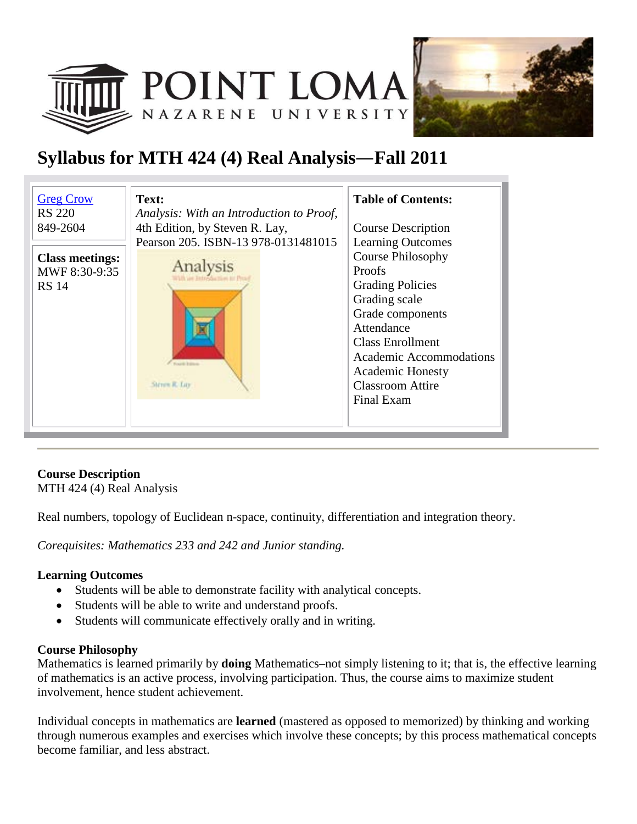



# **Syllabus for MTH 424 (4) Real Analysis**—**Fall 2011**

| <b>Greg Crow</b><br><b>RS 220</b> | Text:<br>Analysis: With an Introduction to Proof, | <b>Table of Contents:</b> |
|-----------------------------------|---------------------------------------------------|---------------------------|
| 849-2604                          | 4th Edition, by Steven R. Lay,                    | <b>Course Description</b> |
|                                   | Pearson 205. ISBN-13 978-0131481015               | <b>Learning Outcomes</b>  |
| <b>Class meetings:</b>            |                                                   | <b>Course Philosophy</b>  |
| MWF 8:30-9:35                     | Analysis                                          | <b>Proofs</b>             |
| <b>RS</b> 14                      |                                                   | <b>Grading Policies</b>   |
|                                   |                                                   | Grading scale             |
|                                   |                                                   | Grade components          |
|                                   |                                                   | Attendance                |
|                                   |                                                   | <b>Class Enrollment</b>   |
|                                   | <b>North Editor</b>                               | Academic Accommodations   |
|                                   | Steven R. Luy                                     | <b>Academic Honesty</b>   |
|                                   |                                                   | <b>Classroom Attire</b>   |
|                                   |                                                   | Final Exam                |
|                                   |                                                   |                           |

### **Course Description**

MTH 424 (4) Real Analysis

Real numbers, topology of Euclidean n-space, continuity, differentiation and integration theory.

*Corequisites: Mathematics 233 and 242 and Junior standing.*

#### **Learning Outcomes**

- Students will be able to demonstrate facility with analytical concepts.
- Students will be able to write and understand proofs.
- Students will communicate effectively orally and in writing.

#### **Course Philosophy**

Mathematics is learned primarily by **doing** Mathematics–not simply listening to it; that is, the effective learning of mathematics is an active process, involving participation. Thus, the course aims to maximize student involvement, hence student achievement.

Individual concepts in mathematics are **learned** (mastered as opposed to memorized) by thinking and working through numerous examples and exercises which involve these concepts; by this process mathematical concepts become familiar, and less abstract.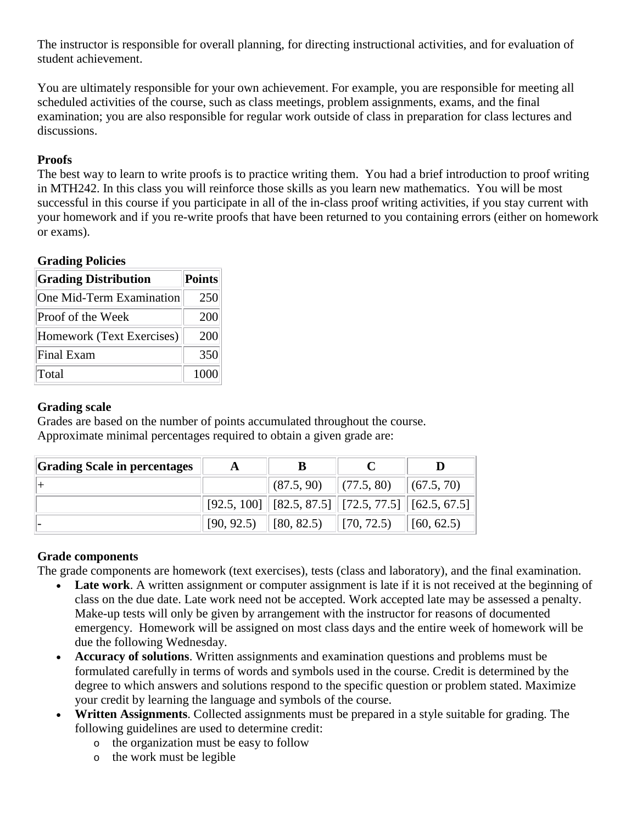The instructor is responsible for overall planning, for directing instructional activities, and for evaluation of student achievement.

You are ultimately responsible for your own achievement. For example, you are responsible for meeting all scheduled activities of the course, such as class meetings, problem assignments, exams, and the final examination; you are also responsible for regular work outside of class in preparation for class lectures and discussions.

#### **Proofs**

The best way to learn to write proofs is to practice writing them. You had a brief introduction to proof writing in MTH242. In this class you will reinforce those skills as you learn new mathematics. You will be most successful in this course if you participate in all of the in-class proof writing activities, if you stay current with your homework and if you re-write proofs that have been returned to you containing errors (either on homework or exams).

#### **Grading Policies**

| <b>Grading Distribution</b> | Points |
|-----------------------------|--------|
| One Mid-Term Examination    | 250    |
| Proof of the Week           | 200    |
| Homework (Text Exercises)   | 200    |
| Final Exam                  | 350    |
| Total                       | 1000   |

#### **Grading scale**

Grades are based on the number of points accumulated throughout the course. Approximate minimal percentages required to obtain a given grade are:

| Grading Scale in percentages |            |                                                            |                               |            |
|------------------------------|------------|------------------------------------------------------------|-------------------------------|------------|
|                              |            | (87.5, 90)                                                 | $\  (77.5, 80) \  (67.5, 70)$ |            |
|                              |            | $[92.5, 100]$ $[82.5, 87.5]$ $[72.5, 77.5]$ $[62.5, 67.5]$ |                               |            |
|                              | [90, 92.5) | $\vert$ [80, 82.5)                                         | $\parallel$ [70, 72.5)        | [60, 62.5) |

#### **Grade components**

The grade components are homework (text exercises), tests (class and laboratory), and the final examination.

- Late work. A written assignment or computer assignment is late if it is not received at the beginning of class on the due date. Late work need not be accepted. Work accepted late may be assessed a penalty. Make-up tests will only be given by arrangement with the instructor for reasons of documented emergency. Homework will be assigned on most class days and the entire week of homework will be due the following Wednesday.
- **Accuracy of solutions**. Written assignments and examination questions and problems must be formulated carefully in terms of words and symbols used in the course. Credit is determined by the degree to which answers and solutions respond to the specific question or problem stated. Maximize your credit by learning the language and symbols of the course.
- **Written Assignments**. Collected assignments must be prepared in a style suitable for grading. The following guidelines are used to determine credit:
	- o the organization must be easy to follow
	- o the work must be legible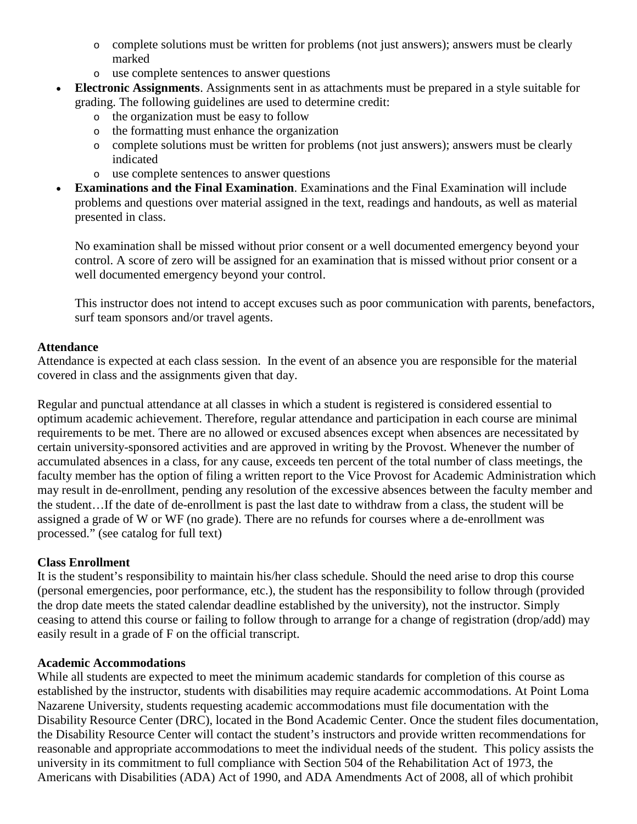- o complete solutions must be written for problems (not just answers); answers must be clearly marked
- o use complete sentences to answer questions
- **Electronic Assignments**. Assignments sent in as attachments must be prepared in a style suitable for grading. The following guidelines are used to determine credit:
	- o the organization must be easy to follow
	- o the formatting must enhance the organization
	- o complete solutions must be written for problems (not just answers); answers must be clearly indicated
	- o use complete sentences to answer questions
- **Examinations and the Final Examination**. Examinations and the Final Examination will include problems and questions over material assigned in the text, readings and handouts, as well as material presented in class.

No examination shall be missed without prior consent or a well documented emergency beyond your control. A score of zero will be assigned for an examination that is missed without prior consent or a well documented emergency beyond your control.

This instructor does not intend to accept excuses such as poor communication with parents, benefactors, surf team sponsors and/or travel agents.

#### **Attendance**

Attendance is expected at each class session. In the event of an absence you are responsible for the material covered in class and the assignments given that day.

Regular and punctual attendance at all classes in which a student is registered is considered essential to optimum academic achievement. Therefore, regular attendance and participation in each course are minimal requirements to be met. There are no allowed or excused absences except when absences are necessitated by certain university-sponsored activities and are approved in writing by the Provost. Whenever the number of accumulated absences in a class, for any cause, exceeds ten percent of the total number of class meetings, the faculty member has the option of filing a written report to the Vice Provost for Academic Administration which may result in de-enrollment, pending any resolution of the excessive absences between the faculty member and the student…If the date of de-enrollment is past the last date to withdraw from a class, the student will be assigned a grade of W or WF (no grade). There are no refunds for courses where a de-enrollment was processed." (see catalog for full text)

#### **Class Enrollment**

It is the student's responsibility to maintain his/her class schedule. Should the need arise to drop this course (personal emergencies, poor performance, etc.), the student has the responsibility to follow through (provided the drop date meets the stated calendar deadline established by the university), not the instructor. Simply ceasing to attend this course or failing to follow through to arrange for a change of registration (drop/add) may easily result in a grade of F on the official transcript.

#### **Academic Accommodations**

While all students are expected to meet the minimum academic standards for completion of this course as established by the instructor, students with disabilities may require academic accommodations. At Point Loma Nazarene University, students requesting academic accommodations must file documentation with the Disability Resource Center (DRC), located in the Bond Academic Center. Once the student files documentation, the Disability Resource Center will contact the student's instructors and provide written recommendations for reasonable and appropriate accommodations to meet the individual needs of the student. This policy assists the university in its commitment to full compliance with Section 504 of the Rehabilitation Act of 1973, the Americans with Disabilities (ADA) Act of 1990, and ADA Amendments Act of 2008, all of which prohibit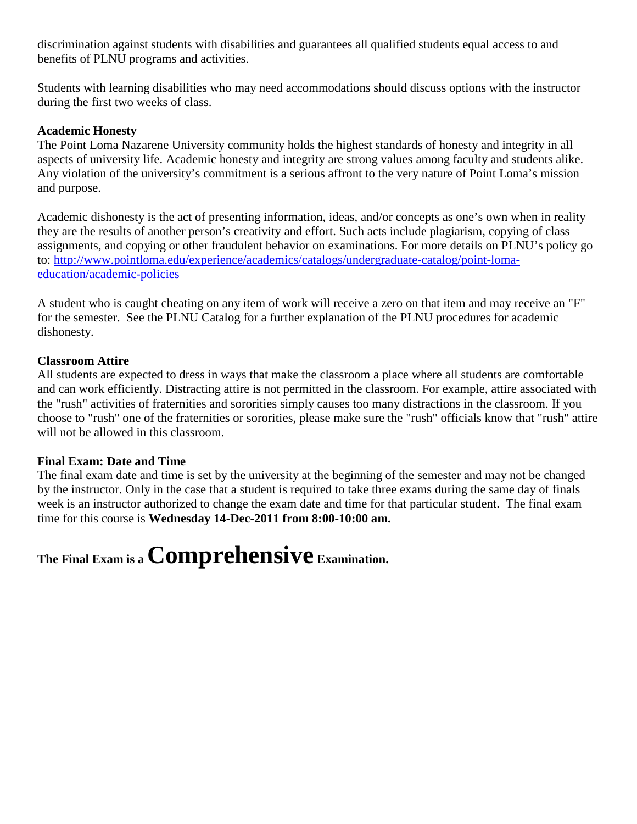discrimination against students with disabilities and guarantees all qualified students equal access to and benefits of PLNU programs and activities.

Students with learning disabilities who may need accommodations should discuss options with the instructor during the first two weeks of class.

#### **Academic Honesty**

The Point Loma Nazarene University community holds the highest standards of honesty and integrity in all aspects of university life. Academic honesty and integrity are strong values among faculty and students alike. Any violation of the university's commitment is a serious affront to the very nature of Point Loma's mission and purpose.

Academic dishonesty is the act of presenting information, ideas, and/or concepts as one's own when in reality they are the results of another person's creativity and effort. Such acts include plagiarism, copying of class assignments, and copying or other fraudulent behavior on examinations. For more details on PLNU's policy go to: [http://www.pointloma.edu/experience/academics/catalogs/undergraduate-catalog/point-loma](http://www.pointloma.edu/experience/academics/catalogs/undergraduate-catalog/point-loma-education/academic-policies)[education/academic-policies](http://www.pointloma.edu/experience/academics/catalogs/undergraduate-catalog/point-loma-education/academic-policies)

A student who is caught cheating on any item of work will receive a zero on that item and may receive an "F" for the semester. See the PLNU Catalog for a further explanation of the PLNU procedures for academic dishonesty.

#### **Classroom Attire**

All students are expected to dress in ways that make the classroom a place where all students are comfortable and can work efficiently. Distracting attire is not permitted in the classroom. For example, attire associated with the "rush" activities of fraternities and sororities simply causes too many distractions in the classroom. If you choose to "rush" one of the fraternities or sororities, please make sure the "rush" officials know that "rush" attire will not be allowed in this classroom.

#### **Final Exam: Date and Time**

The final exam date and time is set by the university at the beginning of the semester and may not be changed by the instructor. Only in the case that a student is required to take three exams during the same day of finals week is an instructor authorized to change the exam date and time for that particular student. The final exam time for this course is **Wednesday 14-Dec-2011 from 8:00-10:00 am.**

# **The Final Exam is a Comprehensive Examination.**